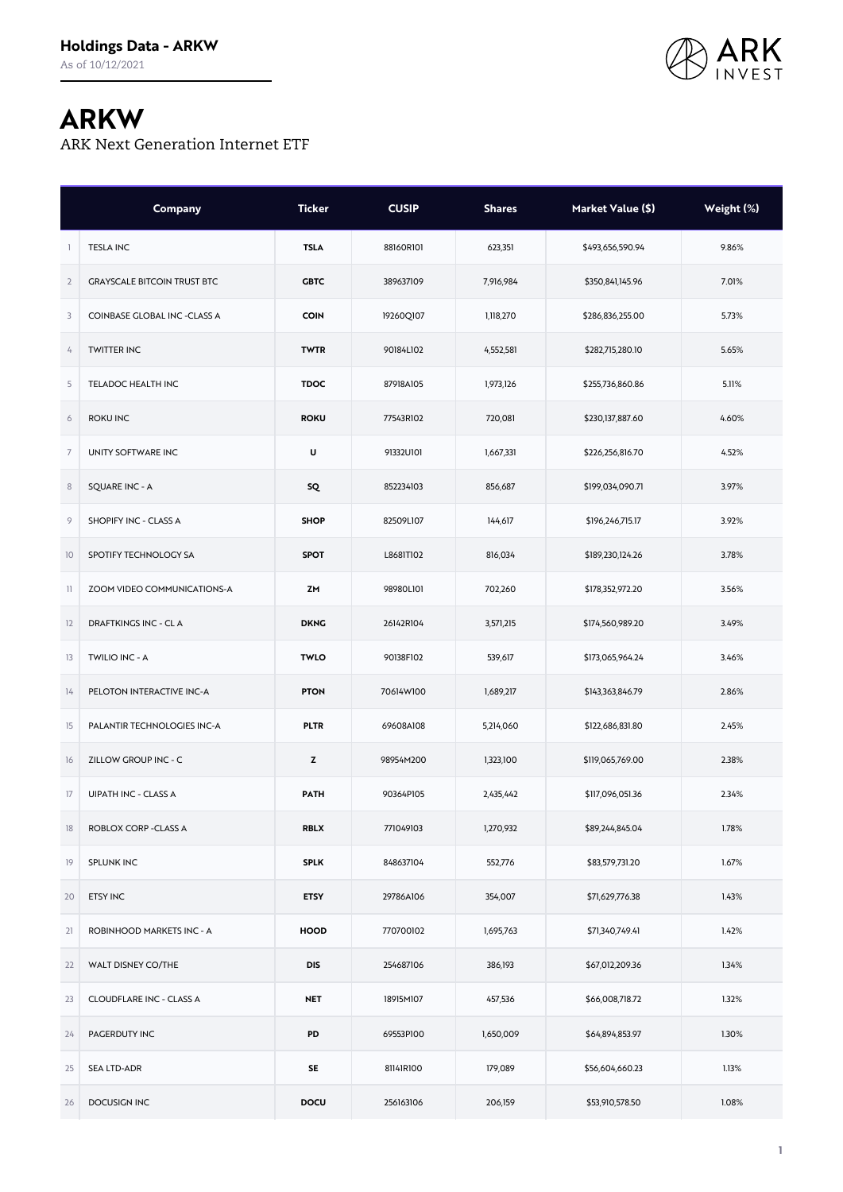

## **ARKW**

ARK Next Generation Internet ETF

|                | Company                            | <b>Ticker</b> | <b>CUSIP</b> | <b>Shares</b> | Market Value (\$) | Weight (%) |
|----------------|------------------------------------|---------------|--------------|---------------|-------------------|------------|
| 1              | <b>TESLA INC</b>                   | <b>TSLA</b>   | 88160R101    | 623,351       | \$493,656,590.94  | 9.86%      |
| $\overline{2}$ | <b>GRAYSCALE BITCOIN TRUST BTC</b> | <b>GBTC</b>   | 389637109    | 7,916,984     | \$350,841,145.96  | 7.01%      |
| 3              | COINBASE GLOBAL INC -CLASS A       | <b>COIN</b>   | 19260Q107    | 1,118,270     | \$286,836,255.00  | 5.73%      |
| 4              | <b>TWITTER INC</b>                 | <b>TWTR</b>   | 90184L102    | 4,552,581     | \$282,715,280.10  | 5.65%      |
| 5              | TELADOC HEALTH INC                 | <b>TDOC</b>   | 87918A105    | 1,973,126     | \$255,736,860.86  | 5.11%      |
| 6              | <b>ROKU INC</b>                    | <b>ROKU</b>   | 77543R102    | 720,081       | \$230,137,887.60  | 4.60%      |
| $\overline{7}$ | UNITY SOFTWARE INC                 | U             | 91332U101    | 1,667,331     | \$226,256,816.70  | 4.52%      |
| $\,$ 8         | <b>SQUARE INC - A</b>              | sQ            | 852234103    | 856,687       | \$199,034,090.71  | 3.97%      |
| 9              | SHOPIFY INC - CLASS A              | <b>SHOP</b>   | 82509L107    | 144,617       | \$196,246,715.17  | 3.92%      |
| 10             | SPOTIFY TECHNOLOGY SA              | <b>SPOT</b>   | L8681T102    | 816,034       | \$189,230,124.26  | 3.78%      |
| $\mathbb{I}$   | ZOOM VIDEO COMMUNICATIONS-A        | ZM            | 98980L101    | 702,260       | \$178,352,972.20  | 3.56%      |
| 12             | <b>DRAFTKINGS INC - CLA</b>        | <b>DKNG</b>   | 26142R104    | 3,571,215     | \$174,560,989.20  | 3.49%      |
| 13             | TWILIO INC - A                     | <b>TWLO</b>   | 90138F102    | 539,617       | \$173,065,964.24  | 3.46%      |
| 14             | PELOTON INTERACTIVE INC-A          | <b>PTON</b>   | 70614W100    | 1,689,217     | \$143,363,846.79  | 2.86%      |
| 15             | PALANTIR TECHNOLOGIES INC-A        | <b>PLTR</b>   | 69608A108    | 5,214,060     | \$122,686,831.80  | 2.45%      |
| 16             | ZILLOW GROUP INC - C               | z             | 98954M200    | 1,323,100     | \$119,065,769.00  | 2.38%      |
| 17             | UIPATH INC - CLASS A               | <b>PATH</b>   | 90364P105    | 2,435,442     | \$117,096,051.36  | 2.34%      |
| 18             | ROBLOX CORP - CLASS A              | <b>RBLX</b>   | 771049103    | 1,270,932     | \$89,244,845.04   | 1.78%      |
| 19             | SPLUNK INC                         | <b>SPLK</b>   | 848637104    | 552,776       | \$83,579,731.20   | 1.67%      |
| 20             | <b>ETSY INC</b>                    | <b>ETSY</b>   | 29786A106    | 354,007       | \$71,629,776.38   | 1.43%      |
| 21             | ROBINHOOD MARKETS INC - A          | <b>HOOD</b>   | 770700102    | 1,695,763     | \$71,340,749.41   | 1.42%      |
| 22             | WALT DISNEY CO/THE                 | <b>DIS</b>    | 254687106    | 386,193       | \$67,012,209.36   | 1.34%      |
| 23             | CLOUDFLARE INC - CLASS A           | <b>NET</b>    | 18915M107    | 457,536       | \$66,008,718.72   | 1.32%      |
| 24             | PAGERDUTY INC                      | PD            | 69553P100    | 1,650,009     | \$64,894,853.97   | 1.30%      |
| 25             | <b>SEA LTD-ADR</b>                 | <b>SE</b>     | 81141R100    | 179,089       | \$56,604,660.23   | 1.13%      |
| 26             | DOCUSIGN INC                       | DOCU          | 256163106    | 206,159       | \$53,910,578.50   | 1.08%      |